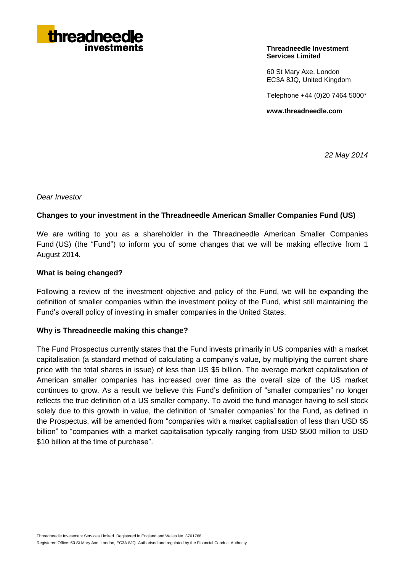

### **Threadneedle Investment Services Limited**

60 St Mary Axe, London EC3A 8JQ, United Kingdom

Telephone +44 (0)20 7464 5000\*

**www.threadneedle.com**

*22 May 2014*

*Dear Investor*

# **Changes to your investment in the Threadneedle American Smaller Companies Fund (US)**

We are writing to you as a shareholder in the Threadneedle American Smaller Companies Fund (US) (the "Fund") to inform you of some changes that we will be making effective from 1 August 2014.

# **What is being changed?**

Following a review of the investment objective and policy of the Fund, we will be expanding the definition of smaller companies within the investment policy of the Fund, whist still maintaining the Fund's overall policy of investing in smaller companies in the United States.

# **Why is Threadneedle making this change?**

The Fund Prospectus currently states that the Fund invests primarily in US companies with a market capitalisation (a standard method of calculating a company's value, by multiplying the current share price with the total shares in issue) of less than US \$5 billion. The average market capitalisation of American smaller companies has increased over time as the overall size of the US market continues to grow. As a result we believe this Fund's definition of "smaller companies" no longer reflects the true definition of a US smaller company. To avoid the fund manager having to sell stock solely due to this growth in value, the definition of 'smaller companies' for the Fund, as defined in the Prospectus, will be amended from "companies with a market capitalisation of less than USD \$5 billion" to "companies with a market capitalisation typically ranging from USD \$500 million to USD \$10 billion at the time of purchase".